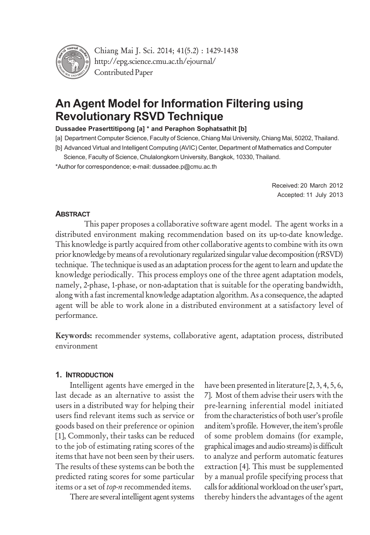

Chiang Mai J. Sci. 2014; 41(5.2) : 1429-1438 http://epg.science.cmu.ac.th/ejournal/ Contributed Paper

# **An Agent Model for Information Filtering using Revolutionary RSVD Technique**

#### **Dussadee Praserttitipong [a] \* and Peraphon Sophatsathit [b]**

[a] Department Computer Science, Faculty of Science, Chiang Mai University, Chiang Mai, 50202, Thailand.

- [b] Advanced Virtual and Intelligent Computing (AVIC) Center, Department of Mathematics and Computer
- Science, Faculty of Science, Chulalongkorn University, Bangkok, 10330, Thailand.

\*Author for correspondence; e-mail: dussadee.p@cmu.ac.th

Received: 20 March 2012 Accepted: 11 July 2013

### **ABSTRACT**

This paper proposes a collaborative software agent model. The agent works in a distributed environment making recommendation based on its up-to-date knowledge. This knowledge is partly acquired from other collaborative agents to combine with its own prior knowledge by means of a revolutionary regularized singular value decomposition (rRSVD) technique. The technique is used as an adaptation process for the agent to learn and update the knowledge periodically. This process employs one of the three agent adaptation models, namely, 2-phase, 1-phase, or non-adaptation that is suitable for the operating bandwidth, along with a fast incremental knowledge adaptation algorithm. As a consequence, the adapted agent will be able to work alone in a distributed environment at a satisfactory level of performance.

Keywords: recommender systems, collaborative agent, adaptation process, distributed environment

### **1. INTRODUCTION**

Intelligent agents have emerged in the last decade as an alternative to assist the users in a distributed way for helping their users find relevant items such as service or goods based on their preference or opinion [1], Commonly, their tasks can be reduced to the job of estimating rating scores of the items that have not been seen by their users. The results of these systems can be both the predicted rating scores for some particular items or a set of *top-n* recommended items.

There are several intelligent agent systems

have been presented in literature [2, 3, 4, 5, 6, 7]. Most of them advise their users with the pre-learning inferential model initiated from the characteristics of both user's profile and item's profile. However, the item's profile of some problem domains (for example, graphical images and audio streams) is difficult to analyze and perform automatic features extraction [4]. This must be supplemented by a manual profile specifying process that calls for additional workload on the user's part, thereby hinders the advantages of the agent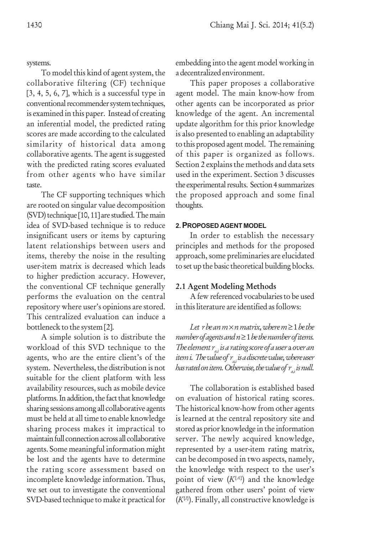systems.

To model this kind of agent system, the collaborative filtering (CF) technique  $[3, 4, 5, 6, 7]$ , which is a successful type in conventional recommender system techniques, is examined in this paper. Instead of creating an inferential model, the predicted rating scores are made according to the calculated similarity of historical data among collaborative agents. The agent is suggested with the predicted rating scores evaluated from other agents who have similar taste.

The CF supporting techniques which are rooted on singular value decomposition (SVD) technique [10, 11] are studied. The main idea of SVD-based technique is to reduce insignificant users or items by capturing latent relationships between users and items, thereby the noise in the resulting user-item matrix is decreased which leads to higher prediction accuracy. However, the conventional CF technique generally performs the evaluation on the central repository where user's opinions are stored. This centralized evaluation can induce a bottleneck to the system [2].

A simple solution is to distribute the workload of this SVD technique to the agents, who are the entire client's of the system. Nevertheless, the distribution is not suitable for the client platform with less availability resources, such as mobile device platforms. In addition, the fact that knowledge sharing sessions among all collaborative agents must be held at all time to enable knowledge sharing process makes it impractical to maintain full connection across all collaborative agents. Some meaningful information might be lost and the agents have to determine the rating score assessment based on incomplete knowledge information. Thus, we set out to investigate the conventional SVD-based technique to make it practical for embedding into the agent model working in a decentralized environment.

This paper proposes a collaborative agent model. The main know-how from other agents can be incorporated as prior knowledge of the agent. An incremental update algorithm for this prior knowledge is also presented to enabling an adaptability to this proposed agent model. The remaining of this paper is organized as follows. Section 2 explains the methods and data sets used in the experiment. Section 3 discusses the experimental results. Section 4 summarizes the proposed approach and some final thoughts.

#### **2. PROPOSED AGENT MODEL**

In order to establish the necessary principles and methods for the proposed approach, some preliminaries are elucidated to set up the basic theoretical building blocks.

### 2.1 Agent Modeling Methods

A few referenced vocabularies to be used in this literature are identified as follows:

*Let r be an m*  $\times$  *n matrix, where m*  $\geq$  *1 be the number of agents and n* ≥ 1 *be the number of items. The element ra,i is a rating score of a user* a *over an item i. The value of*  $r_{a,i}$  *is a discrete value, where user has rated on item. Otherwise, the value of*  $r_a$ *, is null.* 

The collaboration is established based on evaluation of historical rating scores. The historical know-how from other agents is learned at the central repository site and stored as prior knowledge in the information server. The newly acquired knowledge, represented by a user-item rating matrix, can be decomposed in two aspects, namely, the knowledge with respect to the user's point of view  $(K^{\{A\}})$  and the knowledge gathered from other users' point of view (*K*{*I*} ). Finally, all constructive knowledge is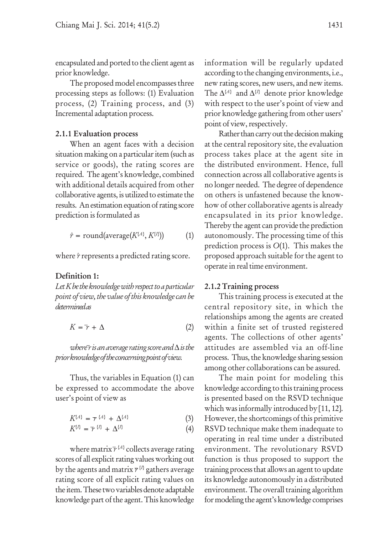encapsulated and ported to the client agent as prior knowledge.

The proposed model encompasses three processing steps as follows: (1) Evaluation process, (2) Training process, and (3) Incremental adaptation process.

### 2.1.1 Evaluation process

When an agent faces with a decision situation making on a particular item (such as service or goods), the rating scores are required. The agent's knowledge, combined with additional details acquired from other collaborative agents, is utilized to estimate the results. An estimation equation of rating score prediction is formulated as

$$
\hat{r} = \text{round}(\text{average}(K^{\{A\}}, K^{\{I\}})) \tag{1}
$$

where  $\hat{r}$  represents a predicted rating score.

### Definition 1:

*Let K be the knowledge with respect to a particular point of view, the value of this knowledge can be determined as*

$$
K = \bar{\gamma} + \Delta \tag{2}
$$

*where r is an average rating score and* ∆ *is the prior knowledge of the concerning point of view.*

Thus, the variables in Equation (1) can be expressed to accommodate the above user's point of view as

$$
K^{\{A\}} = \tau^{\{A\}} + \Delta^{\{A\}} \tag{3}
$$

$$
K^{\{l\}} = \overline{\gamma}^{\{l\}} + \Delta^{\{l\}} \tag{4}
$$

where matrix  $\overline{r}$  <sup>{*A*}</sup> collects average rating scores of all explicit rating values working out by the agents and matrix  $r^{\{l\}}$  gathers average rating score of all explicit rating values on the item. These two variables denote adaptable knowledge part of the agent. This knowledge

information will be regularly updated according to the changing environments, i.e., new rating scores, new users, and new items. The ∆<sup>{*A*}</sup> and ∆<sup>{*I*}</sup> denote prior knowledge with respect to the user's point of view and prior knowledge gathering from other users' point of view, respectively.

Rather than carry out the decision making at the central repository site, the evaluation process takes place at the agent site in the distributed environment. Hence, full connection across all collaborative agents is no longer needed. The degree of dependence on others is unfastened because the knowhow of other collaborative agents is already encapsulated in its prior knowledge. Thereby the agent can provide the prediction autonomously. The processing time of this prediction process is *O*(1). This makes the proposed approach suitable for the agent to operate in real time environment.

### 2.1.2 Training process

This training process is executed at the central repository site, in which the relationships among the agents are created within a finite set of trusted registered agents. The collections of other agents' attitudes are assembled via an off-line process. Thus, the knowledge sharing session among other collaborations can be assured.

The main point for modeling this knowledge according to this training process is presented based on the RSVD technique which was informally introduced by [11, 12]. However, the shortcomings of this primitive RSVD technique make them inadequate to operating in real time under a distributed environment. The revolutionary RSVD function is thus proposed to support the training process that allows an agent to update its knowledge autonomously in a distributed environment. The overall training algorithm for modeling the agent's knowledge comprises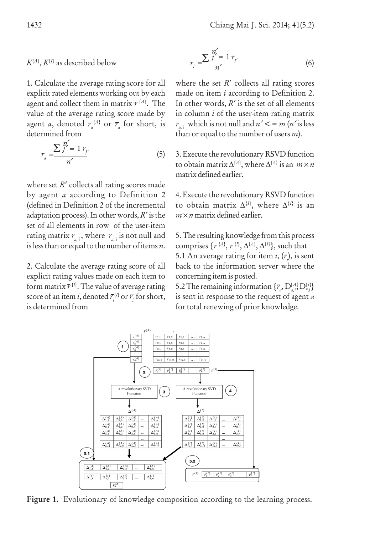# $K^{\{A\}}, K^{\{I\}}$  as described below

1. Calculate the average rating score for all explicit rated elements working out by each agent and collect them in matrix *r* {*A*} . The value of the average rating score made by agent *a*, denoted  $\overline{r}_{a}^{\{A\}}$  or  $\overline{r}_{a}$  for short, is determined from

$$
r_a = \frac{\sum_{j=1}^{n'_f} r_{j'}}{n'}
$$
 (5)

where set *R'* collects all rating scores made by agent *a* according to Definition 2 (defined in Definition 2 of the incremental adaptation process). In other words, *R*′ is the set of all elements in row of the user-item rating matrix  $r_{a,i}$ , where  $r_{a,i}$  is not null and is less than or equal to the number of items *n*.

2. Calculate the average rating score of all explicit rating values made on each item to form matrix  $\bar{r}^{\,\{l\}}$ . The value of average rating score of an item *i*, denoted  $\bar{r}^{_{\{l\}}}_{i}$  or  $\bar{r}^{~}_{i}$  for short, is determined from

$$
r_i = \frac{\sum \frac{n_i'}{j} = 1 r_{i'}}{n'}
$$
 (6)

where the set *R'* collects all rating scores made on item *i* according to Definition 2. In other words, *R*′ is the set of all elements in column *i* of the user-item rating matrix  $r_{ai}$  which is not null and  $n' < m$  (*n*' is less than or equal to the number of users *m*).

3. Execute the revolutionary RSVD function to obtain matrix ∆{*A*} , where ∆{*A*} is an *m* × *n* matrix defined earlier.

4. Execute the revolutionary RSVD function to obtain matrix  $\Delta^{\{I\}}$ , where  $\Delta^{\{I\}}$  is an  $m \times n$  matrix defined earlier.

5. The resulting knowledge from this process comprises  $\{r^{\{A\}}, r^{\{I\}}, \Delta^{\{A\}}, \Delta^{\{I\}}\}$ , such that 5.1 An average rating for item  $i, (r<sub>i</sub>)$ , is sent back to the information server where the concerning item is posted.

5.2 The remaining information  $\{\overline{r}_a, D_{a,*}^{\{A\}} D_{*,i}^{\{I\}}\}$ is sent in response to the request of agent *a* for total renewing of prior knowledge.



Figure 1. Evolutionary of knowledge composition according to the learning process.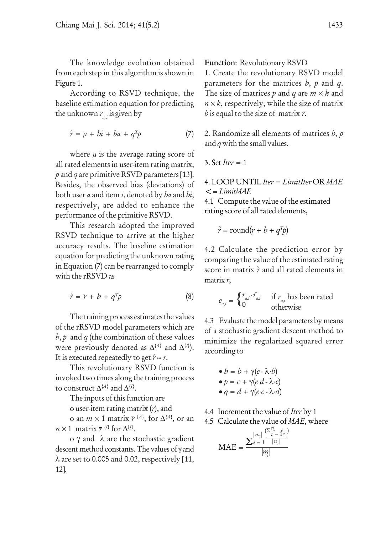The knowledge evolution obtained from each step in this algorithm is shown in Figure 1.

According to RSVD technique, the baseline estimation equation for predicting the unknown  $r_a$ , is given by

$$
\hat{r} = \mu + bi + ba + q^T p \tag{7}
$$

where  $\mu$  is the average rating score of all rated elements in user-item rating matrix, *p* and *q* are primitive RSVD parameters [13]. Besides, the observed bias (deviations) of both user *a* and item *i*, denoted by *ba* and *bi*, respectively, are added to enhance the performance of the primitive RSVD.

This research adopted the improved RSVD technique to arrive at the higher accuracy results. The baseline estimation equation for predicting the unknown rating in Equation (7) can be rearranged to comply with the rRSVD as

$$
\hat{r} = \bar{r} + b + q^T p \tag{8}
$$

The training process estimates the values of the rRSVD model parameters which are  *and*  $*q*$  *(the combination of these values* were previously denoted as  $\Delta^{\{A\}}$  and  $\Delta^{\{I\}}$ ). It is executed repeatedly to get  $\hat{r} \approx r$ .

This revolutionary RSVD function is invoked two times along the training process to construct  $\Delta^{\{A\}}$  and  $\Delta^{\{I\}}$ .

The inputs of this function are

o user-item rating matrix (*r*), and

o an  $m \times 1$  matrix  $\overline{r}$  <sup>{*A*}</sup>, for  $\Delta$ <sup>{*A*}</sup>, or an  $n \times 1$  matrix  $\tau$ <sup>{*I*}</sup> for  $\Delta$ <sup>{*I*}</sup>.

o γ and λ are the stochastic gradient descent method constants. The values of γ and  $\lambda$  are set to 0.005 and 0.02, respectively [11, 12].

Function: Revolutionary RSVD

1. Create the revolutionary RSVD model parameters for the matrices *b*, *p* and *q*. The size of matrices *p* and *q* are *m* × *k* and  $n \times k$ , respectively, while the size of matrix *b* is equal to the size of matrix *r*.

2. Randomize all elements of matrices *b*, *p* and *q* with the small values.

3. Set *Iter* = 1

4. LOOP UNTIL *Iter* = *LimitIter* OR *MAE* <= *LimitMAE*

4.1 Compute the value of the estimated rating score of all rated elements,

$$
\hat{r} = \text{round}(\bar{r} + b + q^T p)
$$

4.2 Calculate the prediction error by comparing the value of the estimated rating score in matrix  $\hat{r}$  and all rated elements in matrix *r*,

$$
e_{a,i} = \begin{cases} r_{a,i} \cdot \hat{r}_{a,i} & \text{if } r_{a,i} \text{ has been rated} \\ 0 & \text{otherwise} \end{cases}
$$

4.3 Evaluate the model parameters by means of a stochastic gradient descent method to minimize the regularized squared error according to

$$
\bullet b = b + \gamma(e - \lambda \cdot b)
$$
  
\n
$$
\bullet p = c + \gamma(e \cdot d - \lambda \cdot c)
$$
  
\n
$$
\bullet q = d + \gamma(e \cdot c - \lambda \cdot d)
$$

4.4 Increment the value of *Iter* by 1

4.5 Calculate the value of *MAE*, where

$$
\text{MAE} = \frac{\sum_{a=1}^{|m_i|} \frac{\langle \Sigma_{i=1}^{n_a} \ell_{a,i} \rangle}{|n_a|}}{|m_i|}
$$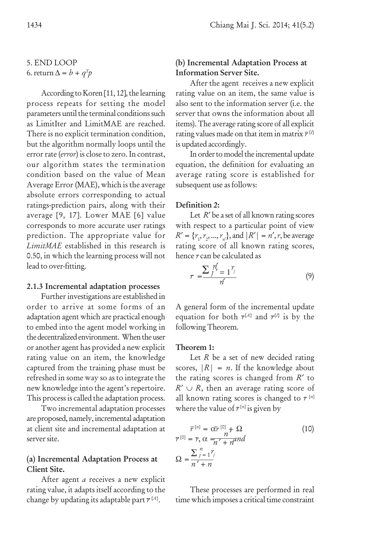5. END LOOP 6. return  $\Delta = b + q^T p$ 

According to Koren [11, 12], the learning process repeats for setting the model parameters until the terminal conditions such as LimitIter and LimitMAE are reached. There is no explicit termination condition, but the algorithm normally loops until the error rate (*error*) is close to zero. In contrast, our algorithm states the termination condition based on the value of Mean Average Error (MAE), which is the average absolute errors corresponding to actual ratings-prediction pairs, along with their average [9, 17]. Lower MAE [6] value corresponds to more accurate user ratings prediction. The appropriate value for *LimitMAE* established in this research is 0.50, in which the learning process will not lead to over-fitting.

### 2.1.3 Incremental adaptation processes

Further investigations are established in order to arrive at some forms of an adaptation agent which are practical enough to embed into the agent model working in the decentralized environment. When the user or another agent has provided a new explicit rating value on an item, the knowledge captured from the training phase must be refreshed in some way so as to integrate the new knowledge into the agent's repertoire. This process is called the adaptation process.

Two incremental adaptation processes are proposed, namely, incremental adaptation at client site and incremental adaptation at server site.

# (a) Incremental Adaptation Process at Client Site.

After agent *a* receives a new explicit rating value, it adapts itself according to the change by updating its adaptable part  $\tau^{\{A\}}$ .

# (b) Incremental Adaptation Process at Information Server Site.

After the agent receives a new explicit rating value on an item, the same value is also sent to the information server (i.e. the server that owns the information about all items). The average rating score of all explicit rating values made on that item in matrix  $\bar{r}^{\{l\}}$ is updated accordingly.

In order to model the incremental update equation, the definition for evaluating an average rating score is established for subsequent use as follows:

### Definition 2:

Let  $R'$  be a set of all known rating scores with respect to a particular point of view  $R' = \{r_1, r_2, ..., r_n\}$ , and  $|R'| = n'$ , *r*, be average rating score of all known rating scores, hence *r* can be calculated as

$$
r = \frac{\sum_{j} \frac{n'}{j}}{n'} \tag{9}
$$

A general form of the incremental update equation for both  $r^{A}$  and  $r^{B}$  is by the following Theorem.

### Theorem 1:

Let *R* be a set of new decided rating scores,  $|R| = n$ . If the knowledge about the rating scores is changed from *R*′ to  $R' \cup R$ , then an average rating score of all known rating scores is changed to  $r^{[n]}$ where the value of  $\bar{r}^{[n]}$  is given by

$$
\overline{r}^{[n]} = \overline{\alpha r}^{[0]} + \Omega
$$
\n
$$
\overline{r}^{[0]} = \overline{r}, \alpha = \frac{n}{n' + n} \text{ and}
$$
\n
$$
\Omega = \frac{\sum_{j=1}^{n} r_j}{n' + n}
$$
\n(10)

These processes are performed in real time which imposes a critical time constraint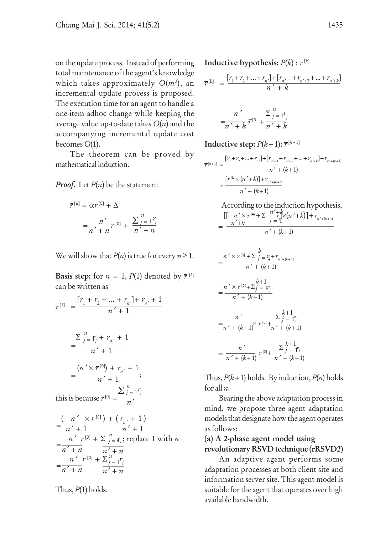on the update process. Instead of performing total maintenance of the agent's knowledge which takes approximately *O*(*m*<sup>3</sup> ), an incremental update process is proposed. The execution time for an agent to handle a one-item adhoc change while keeping the average value up-to-date takes *O*(*n*) and the accompanying incremental update cost becomes *O*(1).

The theorem can be proved by mathematical induction.

### *Proof.* Let *P*(*n*) be the statement

$$
\bar{r}^{[n]} = \alpha \bar{r}^{[0]} + \Delta
$$
  
= 
$$
\frac{n'}{n' + n} r^{[0]} + \frac{\sum_{j=1}^{n} r_j}{n' + n}
$$

We will show that  $P(n)$  is true for every  $n \geq 1$ .

**Basis step:** for  $n = 1$ ,  $P(1)$  denoted by  $\bar{r}^{[1]}$ can be written as

$$
\overline{r}^{[1]} = \frac{[r_1 + r_2 + \dots + r_n] + r_{n'} + 1}{n' + 1}
$$
\n
$$
= \frac{\sum_{j=1}^{n} r_j + r_{n'} + 1}{n' + 1}
$$
\n
$$
= \frac{(n' \times r^{[0]}) + r_{n'} + 1}{n' + 1};
$$
\nthis is because  $\overline{r}^{[0]} = \frac{\sum_{j=1}^{n} r_j}{n'}$ \n
$$
= \frac{(n' \times r^{[0]}) + (r_{n'} + 1)}{n' + 1}
$$
\n
$$
= \frac{n' r^{[0]} + \sum_{j=1}^{n} r_j}{n' + n};
$$
\n
$$
= \frac{n' r^{[0]} + \sum_{j=1}^{n} r_j}{n' + n}.
$$

*j =* 1

Thus, *P*(1) holds*.*

 $n' + n$   $\overline{n' + n}$ 

**Inductive hypothesis:**  $P(k): \overline{r}^{[k]}$ 

$$
\overline{r}^{[k]} \ = \frac{[r_1\!+\!r_2\!+\!\ldots\!+\!r_n\cdot]\!+\![r_{n'+1}\!+\!r_{n'+2}\!+\!\ldots\!+\!r_{n'+k}]}{n'+k}
$$

$$
n' \over n' + k \overline{r}^{[0]} + \frac{\sum_{j=1}^{n} r_j}{n' + k}
$$

Inductive step:  $P(k+1): \overline{r}^{[k+1]}$ 

$$
\overline{r}^{[k+1]} = \frac{[r_1 + r_2 + \dots + r_n] + [r_{n'+1} + r_{n'+2} + \dots + r_{n'+k}] + r_{n'+(k+1)}}{n' + (k+1)}
$$

$$
= \frac{[r^{[k] \times (n'+k)] + r_{n'+(k+1)}}}{n' + (k+1)}
$$

According to the induction hypothesis,  $\left[ \left[ \frac{n' \times r^{[\Theta]} + \sum_{j=1}^{n} \binom{n + k}{j} (n' + k) \right] + r_{n' + (k+1)}} \right]$ *n* ′+*k*  $=\frac{1}{n'+k}$   $j = 1$   $j'' + (k+1)$ 

$$
= \frac{n' \times r^{[0]} + \sum_{j=1}^{k} \frac{n}{j} + r_{n'+(k+1)}}{n' + (k+1)}
$$

$$
= \frac{n' \times r^{[0]} + \sum_{j=1}^{k+1} r_j}{n' + (k+1)}
$$

$$
= \frac{n'}{n' + (k+1)} \times r^{[0]} + \frac{\sum_{j=1}^{k+1} r_j}{n' + (k+1)}
$$

$$
= \frac{n'}{n' + (k+1)} r^{[0]} + \frac{\sum_{j=1}^{k+1} r_j}{n' + (k+1)}
$$

Thus,  $P(k+1)$  holds. By induction,  $P(n)$  holds for all *n*.

Bearing the above adaptation process in mind, we propose three agent adaptation models that designate how the agent operates as follows:

# (a) A 2-phase agent model using revolutionary RSVD technique (rRSVD2)

An adaptive agent performs some adaptation processes at both client site and information server site. This agent model is suitable for the agent that operates over high available bandwidth.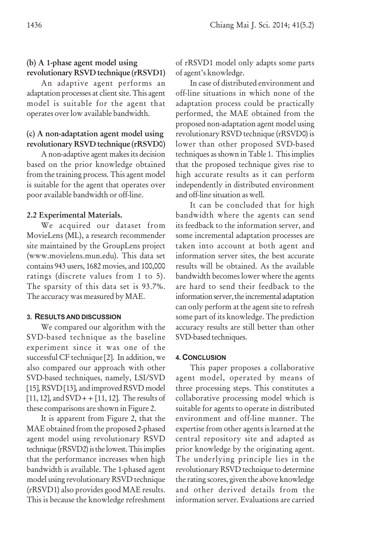# (b) A 1-phase agent model using revolutionary RSVD technique (rRSVD1)

An adaptive agent performs an adaptation processes at client site. This agent model is suitable for the agent that operates over low available bandwidth.

# (c) A non-adaptation agent model using revolutionary RSVD technique (rRSVD0)

A non-adaptive agent makes its decision based on the prior knowledge obtained from the training process. This agent model is suitable for the agent that operates over poor available bandwidth or off-line.

# 2.2 Experimental Materials.

We acquired our dataset from MovieLens (ML), a research recommender site maintained by the GroupLens project (www.movielens.mun.edu). This data set contains 943 users, 1682 movies, and 100,000 ratings (discrete values from 1 to 5). The sparsity of this data set is 93.7%. The accuracy was measured by MAE.

# **3. RESULTS AND DISCUSSION**

We compared our algorithm with the SVD-based technique as the baseline experiment since it was one of the successful CF technique [2]. In addition, we also compared our approach with other SVD-based techniques, namely, LSI/SVD [15], RSVD [13], and improved RSVD model  $[11, 12]$ , and  $SVD + [11, 12]$ . The results of these comparisons are shown in Figure 2.

It is apparent from Figure 2, that the MAE obtained from the proposed 2-phased agent model using revolutionary RSVD technique (rRSVD2) is the lowest. This implies that the performance increases when high bandwidth is available. The 1-phased agent model using revolutionary RSVD technique (rRSVD1) also provides good MAE results. This is because the knowledge refreshment

of rRSVD1 model only adapts some parts of agent's knowledge.

In case of distributed environment and off-line situations in which none of the adaptation process could be practically performed, the MAE obtained from the proposed non-adaptation agent model using revolutionary RSVD technique (rRSVD0) is lower than other proposed SVD-based techniques as shown in Table 1. This implies that the proposed technique gives rise to high accurate results as it can perform independently in distributed environment and off-line situation as well.

It can be concluded that for high bandwidth where the agents can send its feedback to the information server, and some incremental adaptation processes are taken into account at both agent and information server sites, the best accurate results will be obtained. As the available bandwidth becomes lower where the agents are hard to send their feedback to the information server, the incremental adaptation can only perform at the agent site to refresh some part of its knowledge. The prediction accuracy results are still better than other SVD-based techniques.

# **4. CONCLUSION**

This paper proposes a collaborative agent model, operated by means of three processing steps. This constitutes a collaborative processing model which is suitable for agents to operate in distributed environment and off-line manner. The expertise from other agents is learned at the central repository site and adapted as prior knowledge by the originating agent. The underlying principle lies in the revolutionary RSVD technique to determine the rating scores, given the above knowledge and other derived details from the information server. Evaluations are carried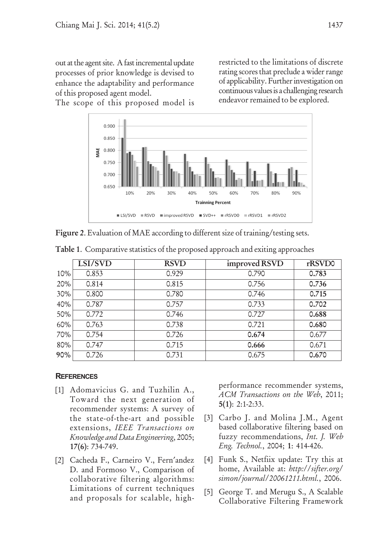out at the agent site. A fast incremental update processes of prior knowledge is devised to enhance the adaptability and performance of this proposed agent model.

The scope of this proposed model is



Figure 2. Evaluation of MAE according to different size of training/testing sets.

|     | LSI/SVD | <b>RSVD</b> | improved RSVD | rRSVD0 |
|-----|---------|-------------|---------------|--------|
| 10% | 0.853   | 0.929       | 0.790         | 0.783  |
| 20% | 0.814   | 0.815       | 0.756         | 0.736  |
| 30% | 0.800   | 0.780       | 0.746         | 0.715  |
| 40% | 0.787   | 0.757       | 0.733         | 0.702  |
| 50% | 0.772   | 0.746       | 0.727         | 0.688  |
| 60% | 0.763   | 0.738       | 0.721         | 0.680  |
| 70% | 0.754   | 0.726       | 0.674         | 0.677  |
| 80% | 0.747   | 0.715       | 0.666         | 0.671  |
| 90% | 0.726   | 0.731       | 0.675         | 0.670  |

Table 1. Comparative statistics of the proposed approach and exiting approaches

# **REFERENCES**

- [1] Adomavicius G. and Tuzhilin A., Toward the next generation of recommender systems: A survey of the state-of-the-art and possible extensions, *IEEE Transactions on Knowledge and Data Engineering*, 2005; 17(6): 734-749.
- [2] Cacheda F., Carneiro V., Fern′andez D. and Formoso V., Comparison of collaborative filtering algorithms: Limitations of current techniques and proposals for scalable, high-

performance recommender systems, *ACM Transactions on the Web*, 2011; 5(1): 2:1-2:33.

- [3] Carbo J. and Molina J.M., Agent based collaborative filtering based on fuzzy recommendations, *Int. J. Web Eng. Technol.*, 2004; 1: 414-426.
- [4] Funk S., Netfiix update: Try this at home, Available at: *http:*//*sifter.org*/ *simon*/*journal*/*20061211.html.*, 2006.
- [5] George T. and Merugu S., A Scalable Collaborative Filtering Framework

restricted to the limitations of discrete rating scores that preclude a wider range of applicability. Further investigation on continuous values is a challenging research endeavor remained to be explored.